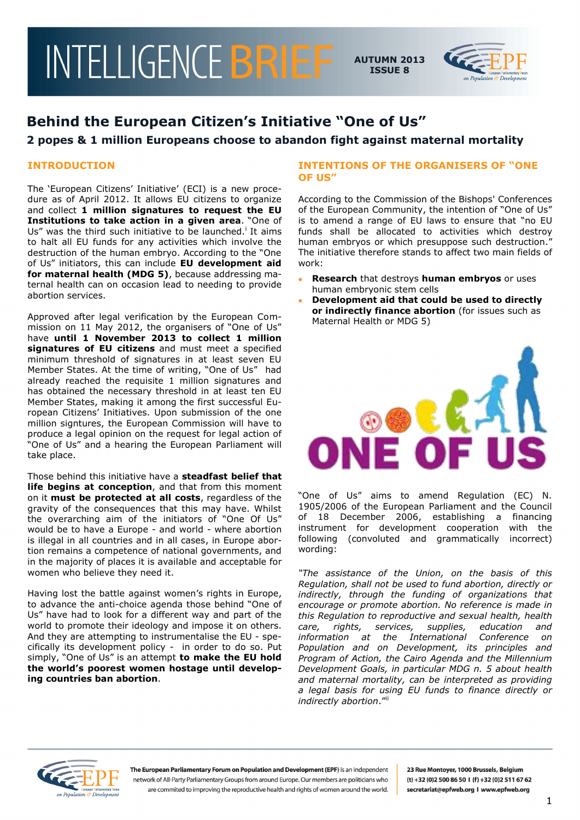

# **Behind the European Citizen's Initiative "One of Us"**

## **2 popes & 1 million Europeans choose to abandon fight against maternal mortality**

### **INTRODUCTION**

The 'European Citizens' Initiative' (ECI) is a new procedure as of April 2012. It allows EU citizens to organize and collect **1 million signatures to request the EU Institutions to take action in a given area**. "One of Us" was the third such initiative to be launched.<sup>i</sup> It aims to halt all EU funds for any activities which involve the destruction of the human embryo. According to the "One of Us" initiators, this can include **EU development aid for maternal health (MDG 5)**, because addressing maternal health can on occasion lead to needing to provide abortion services.

Approved after legal verification by the European Commission on 11 May 2012, the organisers of "One of Us" have **until 1 November 2013 to collect 1 million signatures of EU citizens** and must meet a specified minimum threshold of signatures in at least seven EU Member States. At the time of writing, "One of Us" had already reached the requisite 1 million signatures and has obtained the necessary threshold in at least ten EU Member States, making it among the first successful European Citizens" Initiatives. Upon submission of the one million signtures, the European Commission will have to produce a legal opinion on the request for legal action of "One of Us" and a hearing the European Parliament will take place.

Those behind this initiative have a **steadfast belief that life begins at conception**, and that from this moment on it **must be protected at all costs**, regardless of the gravity of the consequences that this may have. Whilst the overarching aim of the initiators of "One Of Us" would be to have a Europe - and world - where abortion is illegal in all countries and in all cases, in Europe abortion remains a competence of national governments, and in the majority of places it is available and acceptable for women who believe they need it.

Having lost the battle against women's rights in Europe, to advance the anti-choice agenda those behind "One of Us" have had to look for a different way and part of the world to promote their ideology and impose it on others. And they are attempting to instrumentalise the EU - specifically its development policy - in order to do so. Put simply, "One of Us" is an attempt **to make the EU hold the world's poorest women hostage until developing countries ban abortion**.

#### **INTENTIONS OF THE ORGANISERS OF "ONE OF US"**

According to the Commission of the Bishops' Conferences of the European Community, the intention of "One of Us" is to amend a range of EU laws to ensure that "no EU funds shall be allocated to activities which destroy human embryos or which presuppose such destruction." The initiative therefore stands to affect two main fields of work:

- **Research** that destroys **human embryos** or uses human embryonic stem cells
- **Development aid that could be used to directly or indirectly finance abortion** (for issues such as Maternal Health or MDG 5)



"One of Us" aims to amend Regulation (EC) N. 1905/2006 of the European Parliament and the Council of 18 December 2006, establishing a financing instrument for development cooperation with the following (convoluted and grammatically incorrect) wording:

*"The assistance of the Union, on the basis of this Regulation, shall not be used to fund abortion, directly or indirectly, through the funding of organizations that encourage or promote abortion. No reference is made in this Regulation to reproductive and sexual health, health care, rights, services, supplies, education and information at the International Conference on Population and on Development, its principles and Program of Action, the Cairo Agenda and the Millennium Development Goals, in particular MDG n. 5 about health and maternal mortality, can be interpreted as providing a legal basis for using EU funds to finance directly or indirectly abortion.*"



The European Parliamentary Forum on Population and Development (EPF) is an independent network of All-Party Parliamentary Groups from around Europe. Our members are politicians who are commited to improving the reproductive health and rights of women around the world.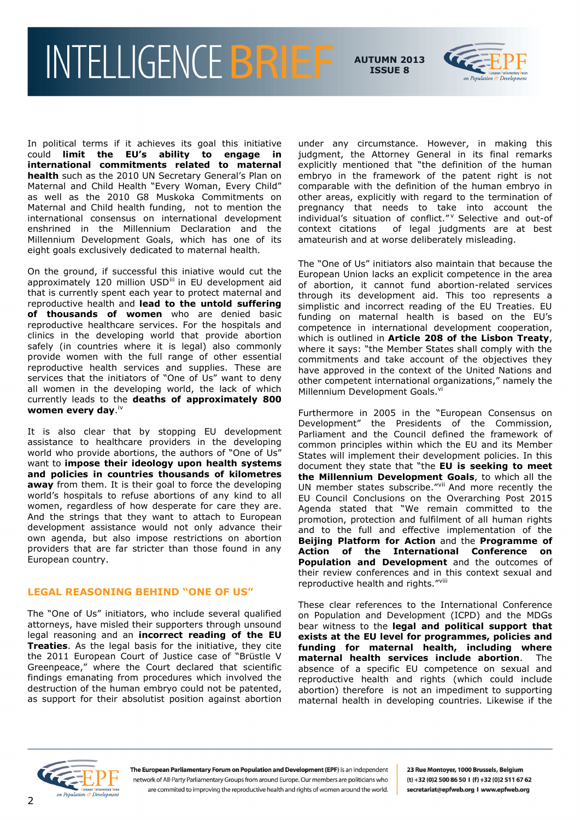

In political terms if it achieves its goal this initiative could **limit the EU's ability to engage in international commitments related to maternal**  health such as the 2010 UN Secretary General's Plan on Maternal and Child Health "Every Woman, Every Child" as well as the 2010 G8 Muskoka Commitments on Maternal and Child health funding, not to mention the international consensus on international development enshrined in the Millennium Declaration and the Millennium Development Goals, which has one of its eight goals exclusively dedicated to maternal health.

On the ground, if successful this iniative would cut the approximately 120 million USD<sup>iii</sup> in EU development aid that is currently spent each year to protect maternal and reproductive health and **lead to the untold suffering of thousands of women** who are denied basic reproductive healthcare services. For the hospitals and clinics in the developing world that provide abortion safely (in countries where it is legal) also commonly provide women with the full range of other essential reproductive health services and supplies. These are services that the initiators of "One of Us" want to deny all women in the developing world, the lack of which currently leads to the **deaths of approximately 800**  women every day.<sup>iv</sup>

It is also clear that by stopping EU development assistance to healthcare providers in the developing world who provide abortions, the authors of "One of Us" want to **impose their ideology upon health systems and policies in countries thousands of kilometres away** from them. It is their goal to force the developing world"s hospitals to refuse abortions of any kind to all women, regardless of how desperate for care they are. And the strings that they want to attach to European development assistance would not only advance their own agenda, but also impose restrictions on abortion providers that are far stricter than those found in any European country.

#### **LEGAL REASONING BEHIND "ONE OF US"**

The "One of Us" initiators, who include several qualified attorneys, have misled their supporters through unsound legal reasoning and an **incorrect reading of the EU Treaties**. As the legal basis for the initiative, they cite the 2011 European Court of Justice case of "Brüstle V Greenpeace," where the Court declared that scientific findings emanating from procedures which involved the destruction of the human embryo could not be patented, as support for their absolutist position against abortion

under any circumstance. However, in making this judgment, the Attorney General in its final remarks explicitly mentioned that "the definition of the human embryo in the framework of the patent right is not comparable with the definition of the human embryo in other areas, explicitly with regard to the termination of pregnancy that needs to take into account the individual"s situation of conflict." <sup>v</sup> Selective and out-of context citations of legal judgments are at best amateurish and at worse deliberately misleading.

The "One of Us" initiators also maintain that because the European Union lacks an explicit competence in the area of abortion, it cannot fund abortion-related services through its development aid. This too represents a simplistic and incorrect reading of the EU Treaties. EU funding on maternal health is based on the EU"s competence in international development cooperation, which is outlined in **Article 208 of the Lisbon Treaty**, where it says: "the Member States shall comply with the commitments and take account of the objectives they have approved in the context of the United Nations and other competent international organizations," namely the Millennium Development Goals.<sup>vi</sup>

Furthermore in 2005 in the "European Consensus on Development" the Presidents of the Commission, Parliament and the Council defined the framework of common principles within which the EU and its Member States will implement their development policies. In this document they state that "the **EU is seeking to meet the Millennium Development Goals**, to which all the UN member states subscribe."<sup>vii</sup> And more recently the EU Council Conclusions on the Overarching Post 2015 Agenda stated that "We remain committed to the promotion, protection and fulfilment of all human rights and to the full and effective implementation of the **Beijing Platform for Action** and the **Programme of Action of the International Conference on Population and Development** and the outcomes of their review conferences and in this context sexual and reproductive health and rights."Vill

These clear references to the International Conference on Population and Development (ICPD) and the MDGs bear witness to the **legal and political support that exists at the EU level for programmes, policies and funding for maternal health, including where maternal health services include abortion**. The absence of a specific EU competence on sexual and reproductive health and rights (which could include abortion) therefore is not an impediment to supporting maternal health in developing countries. Likewise if the



The European Parliamentary Forum on Population and Development (EPF) is an independent network of All-Party Parliamentary Groups from around Europe. Our members are politicians who are commited to improving the reproductive health and rights of women around the world.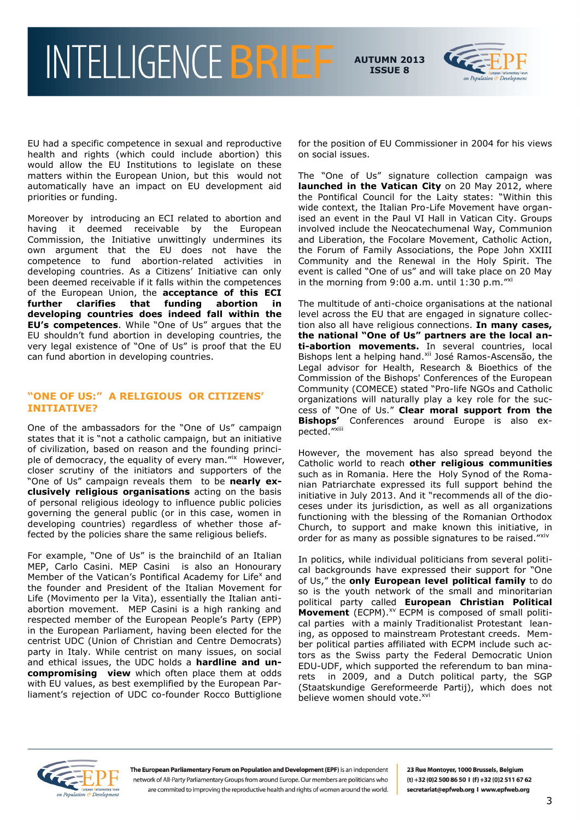

EU had a specific competence in sexual and reproductive health and rights (which could include abortion) this would allow the EU Institutions to legislate on these matters within the European Union, but this would not automatically have an impact on EU development aid priorities or funding.

Moreover by introducing an ECI related to abortion and having it deemed receivable by the European Commission, the Initiative unwittingly undermines its own argument that the EU does not have the competence to fund abortion-related activities in developing countries. As a Citizens' Initiative can only been deemed receivable if it falls within the competences of the European Union, the **acceptance of this ECI further clarifies that funding abortion in developing countries does indeed fall within the EU's competences**. While "One of Us" argues that the EU shouldn"t fund abortion in developing countries, the very legal existence of "One of Us" is proof that the EU can fund abortion in developing countries.

### **"ONE OF US:" A RELIGIOUS OR CITIZENS' INITIATIVE?**

One of the ambassadors for the "One of Us" campaign states that it is "not a catholic campaign, but an initiative of civilization, based on reason and the founding principle of democracy, the equality of every man."<sup>ix</sup> However, closer scrutiny of the initiators and supporters of the "One of Us" campaign reveals them to be **nearly exclusively religious organisations** acting on the basis of personal religious ideology to influence public policies governing the general public (or in this case, women in developing countries) regardless of whether those affected by the policies share the same religious beliefs.

For example, "One of Us" is the brainchild of an Italian MEP, Carlo Casini. MEP Casini is also an Honourary Member of the Vatican's Pontifical Academy for Life<sup>x</sup> and the founder and President of the Italian Movement for Life (Movimento per la Vita), essentially the Italian antiabortion movement. MEP Casini is a high ranking and respected member of the European People's Party (EPP) in the European Parliament, having been elected for the centrist UDC (Union of Christian and Centre Democrats) party in Italy. While centrist on many issues, on social and ethical issues, the UDC holds a **hardline and uncompromising view** which often place them at odds with EU values, as best exemplified by the European Parliament"s rejection of UDC co-founder Rocco Buttiglione for the position of EU Commissioner in 2004 for his views on social issues.

The "One of Us" signature collection campaign was **launched in the Vatican City** on 20 May 2012, where the Pontifical Council for the Laity states: "Within this wide context, the Italian Pro-Life Movement have organised an event in the Paul VI Hall in Vatican City. Groups involved include the Neocatechumenal Way, Communion and Liberation, the Focolare Movement, Catholic Action, the Forum of Family Associations, the Pope John XXIII Community and the Renewal in the Holy Spirit. The event is called "One of us" and will take place on 20 May in the morning from 9:00 a.m. until  $1:30$  p.m." $x$ i

The multitude of anti-choice organisations at the national level across the EU that are engaged in signature collection also all have religious connections. **In many cases, the national "One of Us" partners are the local anti-abortion movements.** In several countries, local Bishops lent a helping hand.<sup>xii</sup> José Ramos-Ascensão, the Legal advisor for Health, Research & Bioethics of the Commission of the Bishops' Conferences of the European Community (COMECE) stated "Pro-life NGOs and Catholic organizations will naturally play a key role for the success of "One of Us." **Clear moral support from the Bishops'** Conferences around Europe is also expected."Xiii

However, the movement has also spread beyond the Catholic world to reach **other religious communities** such as in Romania. Here the Holy Synod of the Romanian Patriarchate expressed its full support behind the initiative in July 2013. And it "recommends all of the dioceses under its jurisdiction, as well as all organizations functioning with the blessing of the Romanian Orthodox Church, to support and make known this initiative, in order for as many as possible signatures to be raised."Xiv

In politics, while individual politicians from several political backgrounds have expressed their support for "One of Us," the **only European level political family** to do so is the youth network of the small and minoritarian political party called **European Christian Political Movement** (ECPM).<sup>xv</sup> ECPM is composed of small political parties with a mainly Traditionalist Protestant leaning, as opposed to mainstream Protestant creeds. Member political parties affiliated with ECPM include such actors as the Swiss party the Federal Democratic Union EDU-UDF, which supported the referendum to ban minarets in 2009, and a Dutch political party, the SGP (Staatskundige Gereformeerde Partij), which does not believe women should vote.<sup>xvi</sup>



The European Parliamentary Forum on Population and Development (EPF) is an independent network of All-Party Parliamentary Groups from around Europe. Our members are politicians who are commited to improving the reproductive health and rights of women around the world.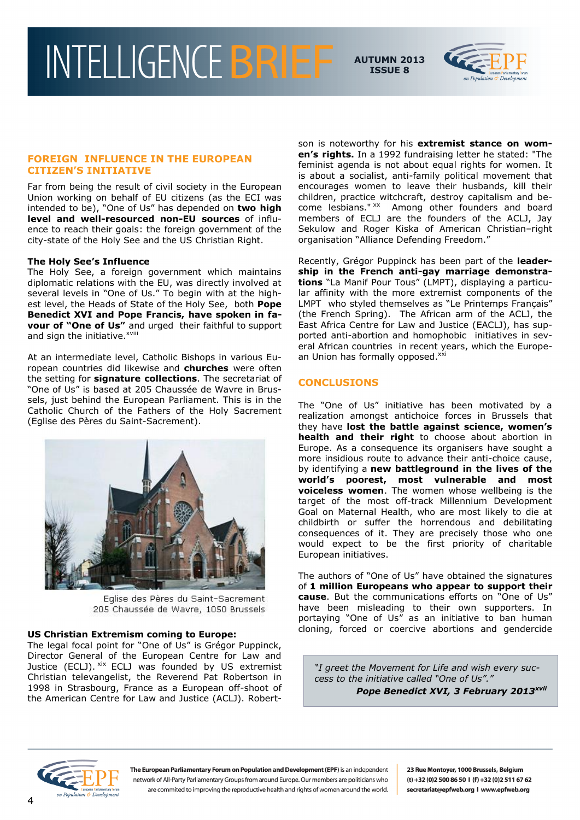

#### **FOREIGN INFLUENCE IN THE EUROPEAN CITIZEN'S INITIATIVE**

Far from being the result of civil society in the European Union working on behalf of EU citizens (as the ECI was intended to be), "One of Us" has depended on **two high level and well-resourced non-EU sources** of influence to reach their goals: the foreign government of the city-state of the Holy See and the US Christian Right.

#### **The Holy See's Influence**

The Holy See, a foreign government which maintains diplomatic relations with the EU, was directly involved at several levels in "One of Us." To begin with at the highest level, the Heads of State of the Holy See, both **Pope Benedict XVI and Pope Francis, have spoken in favour of "One of Us"** and urged their faithful to support and sign the initiative.<sup>xviii</sup>

At an intermediate level, Catholic Bishops in various European countries did likewise and **churches** were often the setting for **signature collections**. The secretariat of "One of Us" is based at 205 Chaussée de Wavre in Brussels, just behind the European Parliament. This is in the Catholic Church of the Fathers of the Holy Sacrement (Eglise des Pères du Saint-Sacrement).



Eglise des Pères du Saint-Sacrement 205 Chaussée de Wavre, 1050 Brussels

#### **US Christian Extremism coming to Europe:**

The legal focal point for "One of Us" is Grégor Puppinck, Director General of the European Centre for Law and Justice (ECLJ). <sup>xix</sup> ECLJ was founded by US extremist Christian televangelist, the Reverend Pat Robertson in 1998 in Strasbourg, France as a European off-shoot of the American Centre for Law and Justice (ACLJ). Robertson is noteworthy for his **extremist stance on women's rights.** In a 1992 fundraising letter he stated: "The feminist agenda is not about equal rights for women. It is about a socialist, anti-family political movement that encourages women to leave their husbands, kill their children, practice witchcraft, destroy capitalism and become lesbians." xx Among other founders and board members of ECLJ are the founders of the ACLJ, Jay Sekulow and Roger Kiska of American Christian–right organisation "Alliance Defending Freedom."

Recently, Grégor Puppinck has been part of the **leadership in the French anti-gay marriage demonstrations** "La Manif Pour Tous" (LMPT), displaying a particular affinity with the more extremist components of the LMPT who styled themselves as "Le Printemps Français" (the French Spring). The African arm of the ACLJ, the East Africa Centre for Law and Justice (EACLJ), has supported anti-abortion and homophobic initiatives in several African countries in recent years, which the European Union has formally opposed.xxi

### **CONCLUSIONS**

The "One of Us" initiative has been motivated by a realization amongst antichoice forces in Brussels that they have **lost the battle against science, women's health and their right** to choose about abortion in Europe. As a consequence its organisers have sought a more insidious route to advance their anti-choice cause, by identifying a **new battleground in the lives of the world's poorest, most vulnerable and most voiceless women**. The women whose wellbeing is the target of the most off-track Millennium Development Goal on Maternal Health, who are most likely to die at childbirth or suffer the horrendous and debilitating consequences of it. They are precisely those who one would expect to be the first priority of charitable European initiatives.

The authors of "One of Us" have obtained the signatures of **1 million Europeans who appear to support their cause**. But the communications efforts on "One of Us" have been misleading to their own supporters. In portaying "One of Us" as an initiative to ban human cloning, forced or coercive abortions and gendercide

*"I greet the Movement for Life and wish every success to the initiative called "One of Us"." Pope Benedict XVI, 3 February 2013xvii* 

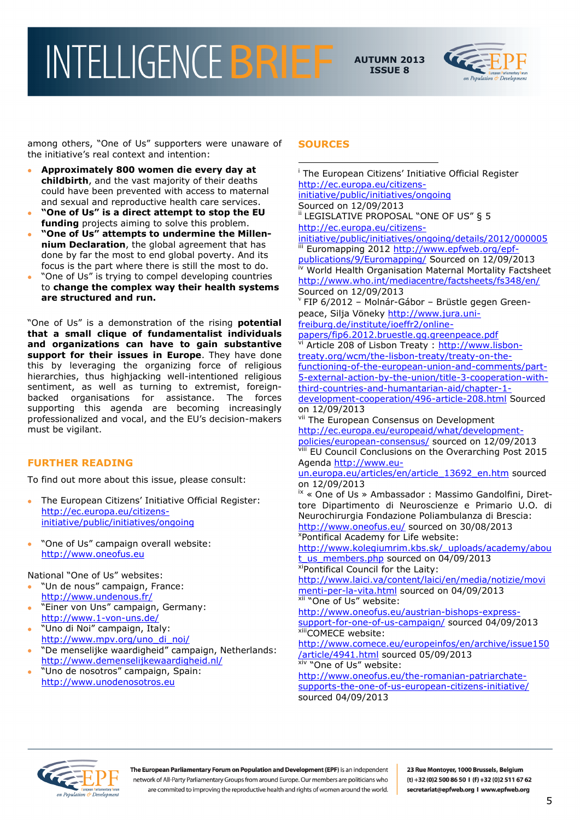

among others, "One of Us" supporters were unaware of the initiative's real context and intention:

- **Approximately 800 women die every day at childbirth**, and the vast majority of their deaths could have been prevented with access to maternal and sexual and reproductive health care services.
- **"One of Us" is a direct attempt to stop the EU funding** projects aiming to solve this problem.
- **"One of Us" attempts to undermine the Millennium Declaration**, the global agreement that has done by far the most to end global poverty. And its focus is the part where there is still the most to do.
- "One of Us" is trying to compel developing countries to **change the complex way their health systems are structured and run.**

"One of Us" is a demonstration of the rising **potential that a small clique of fundamentalist individuals and organizations can have to gain substantive support for their issues in Europe**. They have done this by leveraging the organizing force of religious hierarchies, thus highjacking well-intentioned religious sentiment, as well as turning to extremist, foreignbacked organisations for assistance. The forces supporting this agenda are becoming increasingly professionalized and vocal, and the EU"s decision-makers must be vigilant.

### **FURTHER READING**

To find out more about this issue, please consult:

- The European Citizens' Initiative Official Register: [http://ec.europa.eu/citizens](http://ec.europa.eu/citizens-initiative/public/initiatives/ongoing)[initiative/public/initiatives/ongoing](http://ec.europa.eu/citizens-initiative/public/initiatives/ongoing)
- . "One of Us" campaign overall website: [http://www.oneofus.eu](http://www.oneofus.eu/)

National "One of Us" websites:

- "Un de nous" campaign, France: <http://www.undenous.fr/>
- "Einer von Uns" campaign, Germany: <http://www.1-von-uns.de/>
- "Uno di Noi" campaign, Italy: [http://www.mpv.org/uno\\_di\\_noi/](http://www.mpv.org/uno_di_noi/)
- "De menselijke waardigheid" campaign, Netherlands: <http://www.demenselijkewaardigheid.nl/>
- "Uno de nosotros" campaign, Spain: [http://www.unodenosotros.eu](http://www.unodenosotros.eu/)

#### **SOURCES**

<u>.</u> <sup>i</sup> The European Citizens' Initiative Official Register [http://ec.europa.eu/citizens](http://ec.europa.eu/citizens-initiative/public/initiatives/ongoing)[initiative/public/initiatives/ongoing](http://ec.europa.eu/citizens-initiative/public/initiatives/ongoing) Sourced on 12/09/2013 ii LEGISLATIVE PROPOSAL "ONE OF US" § 5 [http://ec.europa.eu/citizens](http://ec.europa.eu/citizens-initiative/public/initiatives/ongoing/details/2012/000005)[initiative/public/initiatives/ongoing/details/2012/000005](http://ec.europa.eu/citizens-initiative/public/initiatives/ongoing/details/2012/000005) Euromapping 2012 [http://www.epfweb.org/epf](http://www.epfweb.org/epf-publications/9/Euromapping/)[publications/9/Euromapping/](http://www.epfweb.org/epf-publications/9/Euromapping/) Sourced on 12/09/2013 World Health Organisation Maternal Mortality Factsheet <http://www.who.int/mediacentre/factsheets/fs348/en/> Sourced on 12/09/2013 v FIP 6/2012 – Molnár-Gábor – Brüstle gegen Greenpeace, Silja Vöneky http://www.jura.unifreiburg.de/institute/ioeffr2/onlinepapers/fip6.2012.bruestle.gg.greenpeace.pdf Article 208 of Lisbon Treaty : [http://www.lisbon](http://www.lisbon-treaty.org/wcm/the-lisbon-treaty/treaty-on-the-functioning-of-the-european-union-and-comments/part-5-external-action-by-the-union/title-3-cooperation-with-third-countries-and-humantarian-aid/chapter-1-development-cooperation/496-article-208.html)[treaty.org/wcm/the-lisbon-treaty/treaty-on-the](http://www.lisbon-treaty.org/wcm/the-lisbon-treaty/treaty-on-the-functioning-of-the-european-union-and-comments/part-5-external-action-by-the-union/title-3-cooperation-with-third-countries-and-humantarian-aid/chapter-1-development-cooperation/496-article-208.html)[functioning-of-the-european-union-and-comments/part-](http://www.lisbon-treaty.org/wcm/the-lisbon-treaty/treaty-on-the-functioning-of-the-european-union-and-comments/part-5-external-action-by-the-union/title-3-cooperation-with-third-countries-and-humantarian-aid/chapter-1-development-cooperation/496-article-208.html)[5-external-action-by-the-union/title-3-cooperation-with](http://www.lisbon-treaty.org/wcm/the-lisbon-treaty/treaty-on-the-functioning-of-the-european-union-and-comments/part-5-external-action-by-the-union/title-3-cooperation-with-third-countries-and-humantarian-aid/chapter-1-development-cooperation/496-article-208.html)[third-countries-and-humantarian-aid/chapter-1](http://www.lisbon-treaty.org/wcm/the-lisbon-treaty/treaty-on-the-functioning-of-the-european-union-and-comments/part-5-external-action-by-the-union/title-3-cooperation-with-third-countries-and-humantarian-aid/chapter-1-development-cooperation/496-article-208.html) [development-cooperation/496-article-208.html](http://www.lisbon-treaty.org/wcm/the-lisbon-treaty/treaty-on-the-functioning-of-the-european-union-and-comments/part-5-external-action-by-the-union/title-3-cooperation-with-third-countries-and-humantarian-aid/chapter-1-development-cooperation/496-article-208.html) Sourced on 12/09/2013 vii The European Consensus on Development [http://ec.europa.eu/europeaid/what/development](http://ec.europa.eu/europeaid/what/development-policies/european-consensus/)[policies/european-consensus/](http://ec.europa.eu/europeaid/what/development-policies/european-consensus/) sourced on 12/09/2013 viii EU Council Conclusions on the Overarching Post 2015 Agenda [http://www.eu](http://www.eu-un.europa.eu/articles/en/article_13692_en.htm)[un.europa.eu/articles/en/article\\_13692\\_en.htm](http://www.eu-un.europa.eu/articles/en/article_13692_en.htm) sourced on 12/09/2013 ix « One of Us » Ambassador : Massimo Gandolfini, Direttore Dipartimento di Neuroscienze e Primario U.O. di Neurochirurgia Fondazione Poliambulanza di Brescia: <http://www.oneofus.eu/> sourced on 30/08/2013 <sup>x</sup>Pontifical Academy for Life website: http://www.kolegiumrim.kbs.sk/ uploads/academy/abou [t\\_us\\_members.php](http://www.kolegiumrim.kbs.sk/_uploads/academy/about_us_members.php) sourced on 04/09/2013 xiPontifical Council for the Laity: [http://www.laici.va/content/laici/en/media/notizie/movi](http://www.laici.va/content/laici/en/media/notizie/movimenti-per-la-vita.html) [menti-per-la-vita.html](http://www.laici.va/content/laici/en/media/notizie/movimenti-per-la-vita.html) sourced on 04/09/2013 xii "One of Us" website: [http://www.oneofus.eu/austrian-bishops-express](http://www.oneofus.eu/austrian-bishops-express-support-for-one-of-us-campaign/)[support-for-one-of-us-campaign/](http://www.oneofus.eu/austrian-bishops-express-support-for-one-of-us-campaign/) sourced 04/09/2013 xiiiCOMECE website: [http://www.comece.eu/europeinfos/en/archive/issue150](http://www.comece.eu/europeinfos/en/archive/issue150/article/4941.html) [/article/4941.html](http://www.comece.eu/europeinfos/en/archive/issue150/article/4941.html) sourced 05/09/2013 **xiv** "One of Us" website: [http://www.oneofus.eu/the-romanian-patriarchate](http://www.oneofus.eu/the-romanian-patriarchate-supports-the-one-of-us-european-citizens-initiative/)[supports-the-one-of-us-european-citizens-initiative/](http://www.oneofus.eu/the-romanian-patriarchate-supports-the-one-of-us-european-citizens-initiative/) sourced 04/09/2013



The European Parliamentary Forum on Population and Development (EPF) is an independent network of All-Party Parliamentary Groups from around Europe. Our members are politicians who are commited to improving the reproductive health and rights of women around the world.